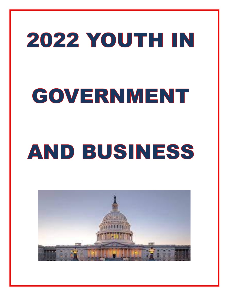# 2022 YOUTH IN GOVERNMENT

# AND BUSINESS

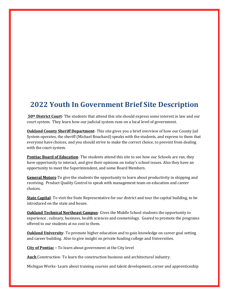## **2022 Youth In Government Brief Site Description**

**50th District Court**- The students that attend this site should express some interest in law and our court system. They learn how our judicial system runs on a local level of government.

**Oakland County Sheriff Department**- This site gives you a brief overview of how our County Jail System operates, the sheriff (Michael Bouchard) speaks with the students, and express to them that everyone have choices, and you should strive to make the correct choice, to prevent from dealing with the court system.

**Pontiac Board of Education**- The students attend this site to see how our Schools are ran, they have opportunity to interact, and give their opinions on today's school issues. Also they have an opportunity to meet the Superintendent, and some Board Members.

**General Motors**-To give the students the opportunity to learn about productivity in shipping and receiving. Product Quality Control to speak with management team on education and career choices.

**State Capital**- To visit the State Representative for our district and tour the capital building, to be introduced on the state and house.

**Oakland Technical Northeast Campus**- Gives the Middle School students the opportunity to experience , culinary, business, health sciences and cosmetology. Geared to promote the programs offered to our students at no cost to them.

**Oakland University**- To promote higher education and to gain knowledge on career goal setting and career building. Also to give insight on private funding college and Universities.

**City of Pontiac –** To learn about government at the City level

**Auch** Construction- To learn the construction business and architectural industry.

Michigan Works- Learn about training courses and talent development, career and apprenticeship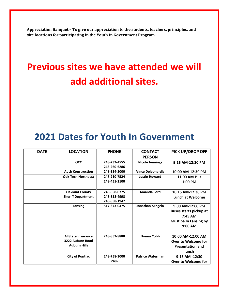**Appreciation Banquet – To give our appreciation to the students, teachers, principles, and site locations for participating in the Youth In Government Program.**

# **Previous sites we have attended we will add additional sites.**

# **2021 Dates for Youth In Government**

| <b>DATE</b> | <b>LOCATION</b>                                                      | <b>PHONE</b>                                 | <b>CONTACT</b><br><b>PERSON</b> | PICK UP/DROP OFF                                                                                   |
|-------------|----------------------------------------------------------------------|----------------------------------------------|---------------------------------|----------------------------------------------------------------------------------------------------|
|             | <b>OCC</b>                                                           | 248-232-4555<br>248-260-6286                 | <b>Nicole Jennings</b>          | 9:15 AM-12:30 PM                                                                                   |
|             | <b>Auch Construction</b>                                             | 248-334-2000                                 | <b>Vince Deleonardis</b>        | 10:00 AM-12:30 PM                                                                                  |
|             | <b>Oak-Tech Northeast</b>                                            | 248-210-7524<br>248-451-2100                 | <b>Justin Howard</b>            | 11:00 AM-Bus<br>1:00 PM                                                                            |
|             | <b>Oakland County</b><br><b>Sheriff Department</b>                   | 248-858-0775<br>248-858-4998<br>248-858-1947 | <b>Amanda Ford</b>              | 10:15 AM-12:30 PM<br><b>Lunch at Welcome</b>                                                       |
|             | Lansing                                                              | 517-373-0475                                 | Jonathan / Angela               | 9:00 AM-12:00 PM<br><b>Buses starts pickup at</b><br>$7:45$ AM<br>Must be In Lansing by<br>9:00 AM |
|             | <b>AllState Insurance</b><br>3222 Auburn Road<br><b>Auburn Hills</b> | 248-852-8888                                 | Donna Cobb                      | 10:00 AM-12:00 AM<br>Over to Welcome for<br><b>Presentation and</b><br>lunch                       |
|             | <b>City of Pontiac</b>                                               | 248-758-3000<br>248-                         | <b>Patrice Waterman</b>         | 9:15 AM -12:30<br>Over to Welcome for                                                              |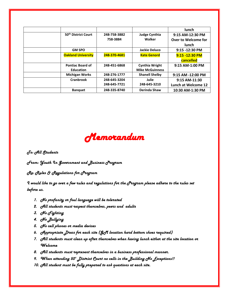|                                 |              |                        | lunch               |
|---------------------------------|--------------|------------------------|---------------------|
| 50 <sup>th</sup> District Court | 248-758-3882 | <b>Judge Cynthia</b>   | 9:15 AM-12:30 PM    |
|                                 | 758-3884     | Walker                 | Over to Welcome for |
|                                 |              |                        | lunch               |
| <b>GM SPO</b>                   |              | <b>Jackie Deluco</b>   | 9:15 -12:30 PM      |
| <b>Oakland University</b>       | 248-370-4681 | <b>Kate Genord</b>     | 9:15 -12:30 PM      |
|                                 |              |                        | cancelled           |
| <b>Pontiac Board of</b>         | 248-451-6868 | <b>Cynthia Wright</b>  | 9:15 AM-1:00 PM     |
| <b>Education</b>                |              | <b>Mike McGuinness</b> |                     |
| <b>Michigan Works</b>           | 248-276-1777 | <b>Shanell Shelby</b>  | 9:15 AM -12:00 PM   |
| Cranbrook                       | 248-645-3204 | Julie                  | 9:15 AM-11:30       |
|                                 | 248-645-7721 | 248-645-3210           | Lunch at Welcome 12 |
| <b>Banquet</b>                  | 248-335-8740 | Derinda Shaw           | 10:30 AM-1:30 PM    |



*To: All Students* 

*From: Youth In Government and Business Program*

*Re: Rules & Regulations for Program*

*I would like to go over a few rules and regulations for the Program please adhere to the rules set before us.*

- *1. No profanity or foul language will be tolerated*
- *2. All students must respect themselves, peers and adults*
- *3. No Fighting*
- *4. No Bullying*
- *5. No cell phones or media devices*
- *6. Appropriate Dress for each site (GM location hard bottom shoes required)*
- *7. All students must clean up after themselves when having lunch either at the site location or Welcome*
- *8. All students must represent themselves in a business professional manner.*
- *9. When attending 50th District Court no cells in the Building No Exceptions!!*
- *10. All student must be fully prepared to ask questions at each site.*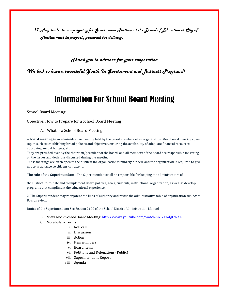*11.Any students campaigning for Government Position at the Board of Education or City of Pontiac must be properly prepared for delivery.*

#### *Thank you in advance for your cooperation*

*We look to have a successful Youth In Government and Business Program!!*

# Information For School Board Meeting

School Board Meeting:

Objective: How to Prepare for a School Board Meeting

#### A. What is a School Board Meeting

A **board meeting is** an administrative meeting held by the board members of an organization. Most board meeting cover topics such as: establishing broad policies and objectives, ensuring the availability of adequate financial resources, approving annual budgets, etc.

They are presided over by the chairman/president of the board, and all members of the board are responsible for voting on the issues and decisions discussed during the meeting.

These meetings are often open to the public if the organization is publicly funded, and the organization is required to give notice in advance so citizens can attend.

**The role of the Superintendant:** The Superintendent shall be responsible for keeping the administrators of

the District up-to-date and to implement Board policies, goals, curricula, instructional organization, as well as develop programs that compliment the educational experience.

2. The Superintendent may reorganize the lines of authority and revise the administrative table of organization subject to Board review.

Duties of the Superintendant: See Section 2100 of the School District Administration Manuel.

- B. View Mock School Board Meeting: [http://www.youtube.com/watch?v=J7YGdgI2RaA](about:blank)
- C. Vocabulary Terms
	- i. Roll call
		- ii. Discussion
	- iii. Action
	- iv. Item numbers
	- v. Board items
	- vi. Petitions and Delegations (Public)
	- vii. Superintendant Report
	- viii. Agenda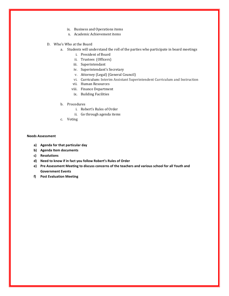- ix. Business and Operations items
- x. Academic Achievement items
- D. Who's Who at the Board
	- a. Students will understand the roll of the parties who participate in board meetings
		- i. President of Board
		- ii. Trustees (Officers)
		- iii. Superintendant
		- iv. Superintendant's Secretary
		- v. Attorney (Legal) (General Council)
		- vi. Curriculum: Interim Assistant Superintendent Curriculum and Instruction
		- vii. Human Resources
		- viii. Finance Department
		- ix. Building Facilities
	- b. Procedures
		- i. Robert's Rules of Order
		- ii. Go through agenda items
	- c. Voting

#### **Needs Assessment**

- **a) Agenda for that particular day**
- **b) Agenda Item documents**
- **c) Resolutions**
- **d) Need to know if in fact you follow Robert's Rules of Order**
- **e) Pre Assessment Meeting to discuss concerns of the teachers and various school for all Youth and Government Events**
- **f) Post Evaluation Meeting**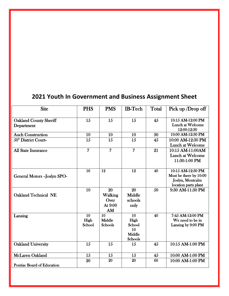## **2021 Youth In Government and Business Assignment Sheet**

| <b>Site</b>                        | <b>PHS</b>      | <b>PMS</b>      | <b>IB-Tech</b> | Total | Pick up $\overline{\text{Drop off}}$  |
|------------------------------------|-----------------|-----------------|----------------|-------|---------------------------------------|
|                                    |                 |                 |                |       |                                       |
| <b>Oakland County Sheriff</b>      | 15              | 15              | 15             | 45    | 10:15 AM-12:00 PM<br>Lunch at Welcome |
| Department                         |                 |                 |                |       | 12:00-12:30                           |
| <b>Auch Construction</b>           | 10              | 10              | 10             | 30    | 10:00 AM-12:30 PM                     |
| 50 <sup>th</sup> District Court-   | 15              | 15              | 15             | 45    | 10:00 AM-12:30 PM                     |
|                                    |                 |                 |                |       | <b>Lunch at Welcome</b>               |
| All State Insurance                | $\overline{7}$  | $\overline{7}$  | $\overline{7}$ | 21    | 10:15 AM-11:00AM                      |
|                                    |                 |                 |                |       | Lunch at Welcome                      |
|                                    |                 |                 |                |       | 11:30-1:00 PM                         |
|                                    | $\overline{16}$ | 12              | 12             | 40    | 10:15 AM-12:30 PM                     |
| <b>General Motors -Joslyn SPO-</b> |                 |                 |                |       | Must be there by 10:00                |
|                                    |                 |                 |                |       | Joslyn, Montcalm                      |
|                                    |                 |                 |                |       | location parts plant                  |
|                                    | 10              | 20              | 20             | 50    | 9:30 AM-11:30 PM                      |
| <b>Oakland Technical NE</b>        |                 | Walking         | Middle         |       |                                       |
|                                    |                 | Over            | schools        |       |                                       |
|                                    |                 | At 9:00<br>AM   | only           |       |                                       |
| Lansing                            | 10              | $\overline{10}$ | 10             | 40    | 7:45 AM-12:00 PM                      |
|                                    | High            | Middle          | High           |       | We need to be in                      |
|                                    | School          | Schools         | School         |       | Lansing by 9:00 PM                    |
|                                    |                 |                 | 10             |       |                                       |
|                                    |                 |                 | Middle         |       |                                       |
|                                    |                 |                 | Schools        |       |                                       |
| <b>Oakland University</b>          | 15              | 15              | 15             | 45    | 10:15 AM-1:00 PM                      |
| McLaren Oakland                    | 15              | 15              | 15             | 45    | 10:00 AM-1:00 PM                      |
|                                    | 20              | 20              | 20             | 60    | 10:00 AM-1:00 PM                      |
| Pontiac Board of Education         |                 |                 |                |       |                                       |